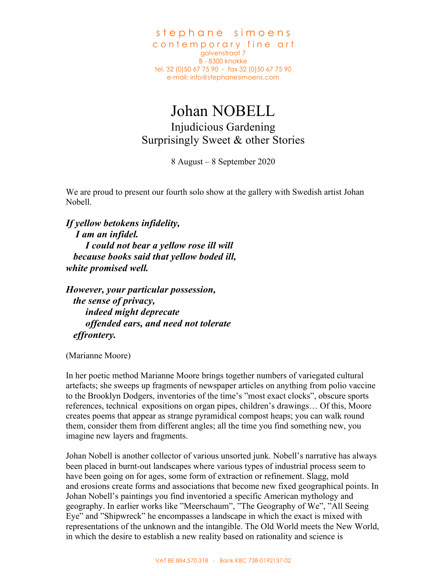stephane simoens contemporary fine art golvenstraat 7 B - 8300 knokke tel. 32 (0)50 67 75 90 - fax 32 (0)50 67 75 90 e-mail: info@stephanesimoens.com

## Johan NOBELL Injudicious Gardening Surprisingly Sweet & other Stories

8 August – 8 September 2020

We are proud to present our fourth solo show at the gallery with Swedish artist Johan Nobell.

*If yellow betokens infidelity, I am an infidel. I could not bear a yellow rose ill will because books said that yellow boded ill, white promised well.*

*However, your particular possession, the sense of privacy, indeed might deprecate offended ears, and need not tolerate effrontery.*

(Marianne Moore)

In her poetic method Marianne Moore brings together numbers of variegated cultural artefacts; she sweeps up fragments of newspaper articles on anything from polio vaccine to the Brooklyn Dodgers, inventories of the time's "most exact clocks", obscure sports references, technical expositions on organ pipes, children's drawings… Of this, Moore creates poems that appear as strange pyramidical compost heaps; you can walk round them, consider them from different angles; all the time you find something new, you imagine new layers and fragments.

Johan Nobell is another collector of various unsorted junk. Nobell's narrative has always been placed in burnt-out landscapes where various types of industrial process seem to have been going on for ages, some form of extraction or refinement. Slagg, mold and erosions create forms and associations that become new fixed geographical points. In Johan Nobell's paintings you find inventoried a specific American mythology and geography. In earlier works like "Meerschaum", "The Geography of We", "All Seeing Eye" and "Shipwreck" he encompasses a landscape in which the exact is mixed with representations of the unknown and the intangible. The Old World meets the New World, in which the desire to establish a new reality based on rationality and science is